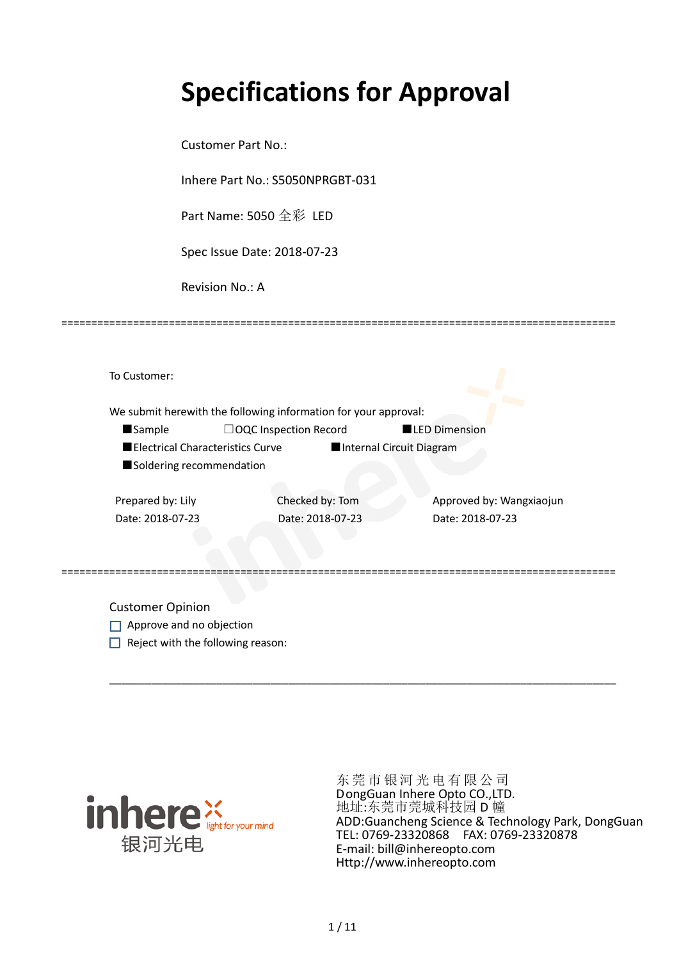# **Specifications for Approval**

Customer Part No.:

Inhere Part No.: S5050NPRGBT-031

Part Name: 5050 全彩 LED

Spec Issue Date: 2018-07-23

Revision No.: A

|                          | We submit herewith the following information for your approval: |                          |                          |
|--------------------------|-----------------------------------------------------------------|--------------------------|--------------------------|
| <b>Sample</b>            | $\Box$ OQC Inspection Record                                    | <b>LED Dimension</b>     |                          |
|                          | Electrical Characteristics Curve                                | Internal Circuit Diagram |                          |
| Soldering recommendation |                                                                 |                          |                          |
|                          |                                                                 |                          |                          |
| Prepared by: Lily        | Checked by: Tom                                                 |                          | Approved by: Wangxiaojun |
| Date: 2018-07-23         | Date: 2018-07-23                                                | Date: 2018-07-23         |                          |
|                          |                                                                 |                          |                          |

\_\_\_\_\_\_\_\_\_\_\_\_\_\_\_\_\_\_\_\_\_\_\_\_\_\_\_\_\_\_\_\_\_\_\_\_\_\_\_\_\_\_\_\_\_\_\_\_\_\_\_\_\_\_\_\_\_\_\_\_\_\_\_\_\_\_\_\_\_\_\_\_\_\_\_\_\_\_\_\_\_\_\_\_\_

=============================================================================================

Customer Opinion

- Approve and no objection
- $\Box$  Reject with the following reason:



东莞市银河光电有限公司 DongGuan Inhere Opto CO.,LTD. 地址:东莞市莞城科技园 D 幢 ADD:Guancheng Science & Technology Park, DongGuan TEL: 0769-23320868 FAX: 0769-23320878 E-mail: bill@inhereopto.com Http://www.inhereopto.com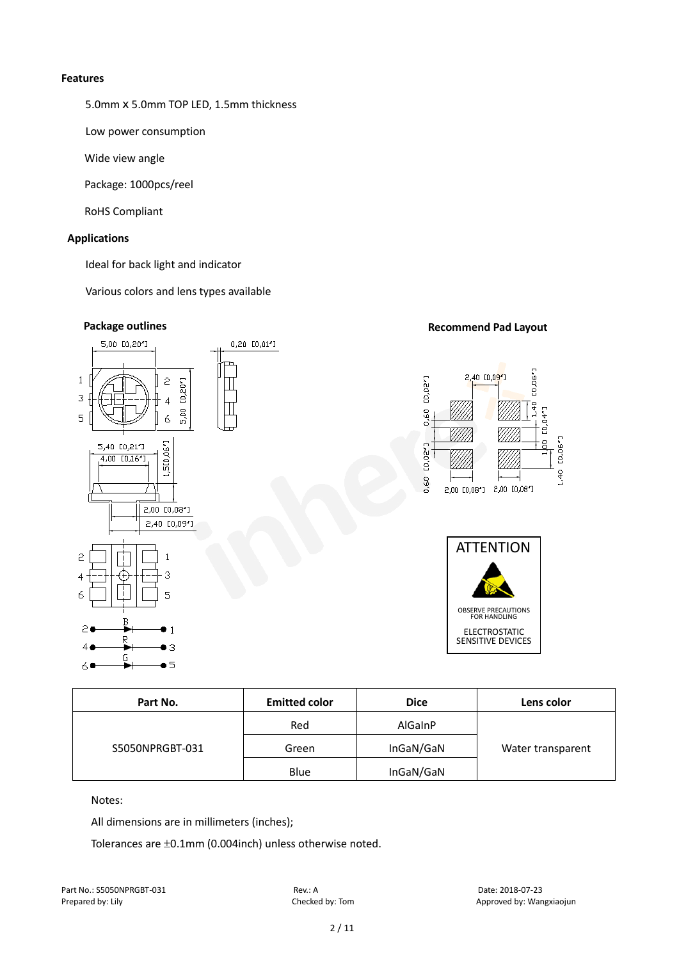### **Features**

5.0mm x 5.0mm TOP LED, 1.5mm thickness

Low power consumption

Wide view angle

Package: 1000pcs/reel

RoHS Compliant

## **Applications**

Ideal for back light and indicator

Various colors and lens types available



| Part No.        | <b>Emitted color</b> | <b>Dice</b>    | Lens color        |  |  |
|-----------------|----------------------|----------------|-------------------|--|--|
| S5050NPRGBT-031 | Red                  | <b>AlGainP</b> |                   |  |  |
|                 | Green                | InGaN/GaN      | Water transparent |  |  |
|                 | Blue                 | InGaN/GaN      |                   |  |  |

Notes:

All dimensions are in millimeters (inches);

Tolerances are ±0.1mm (0.004inch) unless otherwise noted.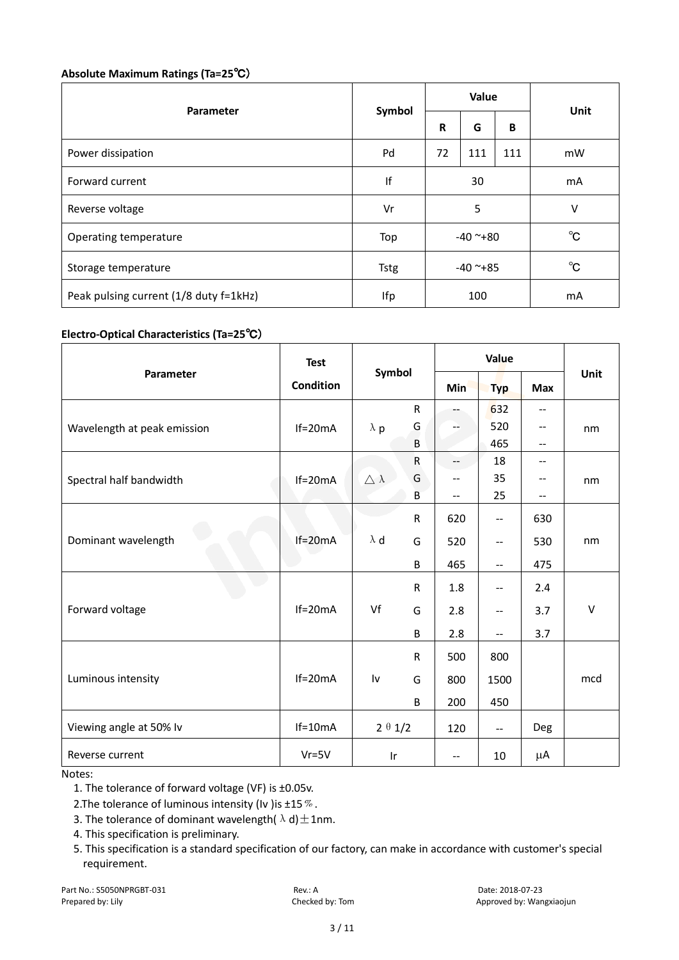## **Absolute Maximum Ratings (Ta=25**℃)

| Parameter                              |             | Value      |     |              |              |  |
|----------------------------------------|-------------|------------|-----|--------------|--------------|--|
|                                        | Symbol      | R          | G   | B            | Unit         |  |
| Power dissipation                      | Pd          | 72         | 111 | 111          | mW           |  |
| Forward current                        | If          | 30         |     | mA           |              |  |
| Reverse voltage                        | Vr          | 5          |     |              | V            |  |
| Operating temperature                  | Top         | $-40$ ~+80 |     |              | $^{\circ}$ C |  |
| Storage temperature                    | <b>Tstg</b> | $-40$ ~+85 |     | $^{\circ}$ C |              |  |
| Peak pulsing current (1/8 duty f=1kHz) | Ifp         | 100        |     | mA           |              |  |

# **Electro-Optical Characteristics (Ta=25**℃)

|                             | <b>Test</b>      | Symbol                |              | Value                    |                   |                          |        |
|-----------------------------|------------------|-----------------------|--------------|--------------------------|-------------------|--------------------------|--------|
| Parameter                   | <b>Condition</b> |                       |              | <b>Min</b>               | <b>Typ</b>        | <b>Max</b>               | Unit   |
|                             |                  |                       | $\mathsf{R}$ |                          | 632               | $\overline{\phantom{m}}$ |        |
| Wavelength at peak emission | $If=20mA$        | $\lambda$ p           | G            |                          | 520               | $\overline{\phantom{m}}$ | nm     |
|                             |                  |                       | B            |                          | 465               | $\overline{\phantom{m}}$ |        |
|                             |                  |                       | ${\sf R}$    | $-$                      | 18                | --                       |        |
| Spectral half bandwidth     | $If=20mA$        | $\triangle$ $\lambda$ | G            | $-$                      | 35                | --                       | nm     |
|                             |                  |                       | B            | $\overline{\phantom{m}}$ | 25                | --                       |        |
|                             |                  |                       | $\mathsf{R}$ | 620                      | $-$               | 630                      |        |
| Dominant wavelength         | $If=20mA$        | $\lambda$ d           | G            | 520                      | $\qquad \qquad -$ | 530                      | nm     |
|                             |                  |                       | B            | 465                      | $-$               | 475                      |        |
|                             |                  |                       | $\mathsf{R}$ | 1.8                      | --                | 2.4                      |        |
| Forward voltage             | $If=20mA$        | Vf                    | G            | 2.8                      | --                | 3.7                      | $\vee$ |
|                             |                  |                       | B            | 2.8                      | $-$               | 3.7                      |        |
|                             |                  |                       | $\mathsf{R}$ | 500                      | 800               |                          |        |
| Luminous intensity          | $If=20mA$        | Iv                    | G            | 800                      | 1500              |                          | mcd    |
|                             |                  |                       | B            | 200                      | 450               |                          |        |
| Viewing angle at 50% lv     | $If=10mA$        | $2 \theta 1/2$        |              | 120                      | $\mathbf{u}$      | Deg                      |        |
| Reverse current             | $Vr = 5V$        | Ir                    |              | $\mathbf{u}$             | 10                | μA                       |        |

Notes:

1. The tolerance of forward voltage (VF) is ±0.05v.

2. The tolerance of luminous intensity (Iv ) is  $\pm 15\%$ .

- 3. The tolerance of dominant wavelength( $\lambda$ d) $\pm$ 1nm.
- 4. This specification is preliminary.
- 5. This specification is a standard specification of our factory, can make in accordance with customer's special requirement.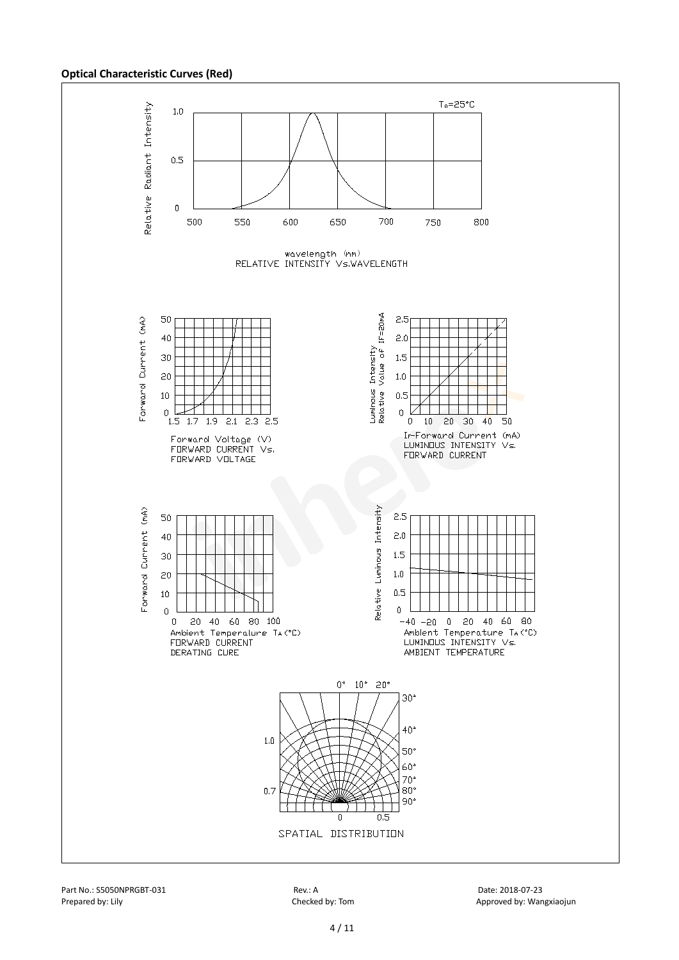#### **Optical Characteristic Curves (Red)**



Part No.: S5050NPRGBT-031 Rev.: A Date: 2018-07-23

Prepared by: Lily Checked by: Tom Checked by: Tom Approved by: Wangxiaojun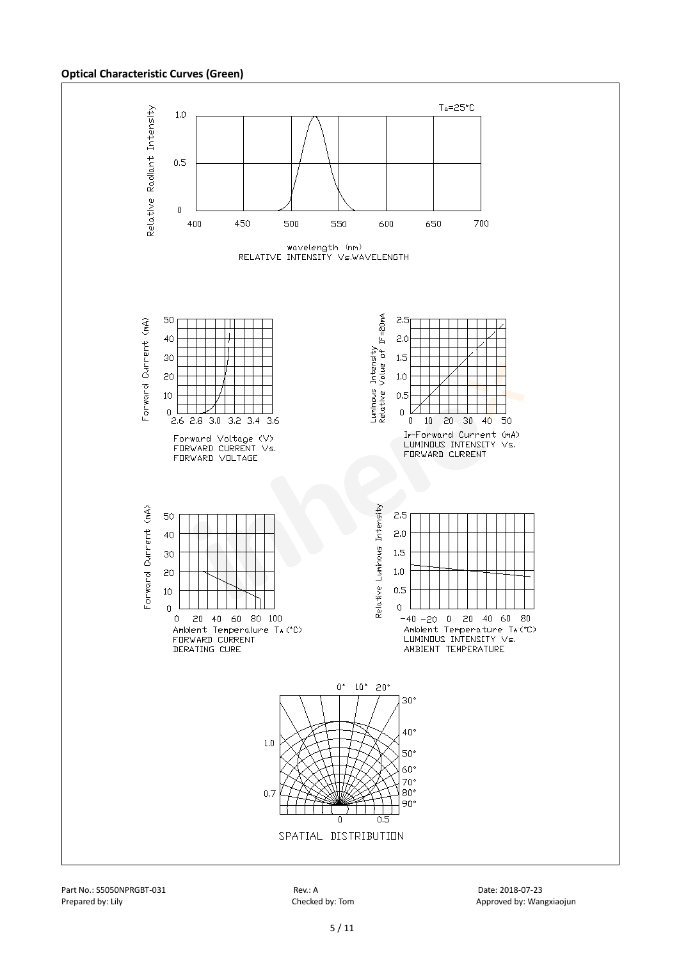#### **Optical Characteristic Curves (Green)**



Part No.: S5050NPRGBT-031 Rev.: A Date: 2018-07-23 Prepared by: Lily Checked by: Tom Checked by: Tom Approved by: Wangxiaojun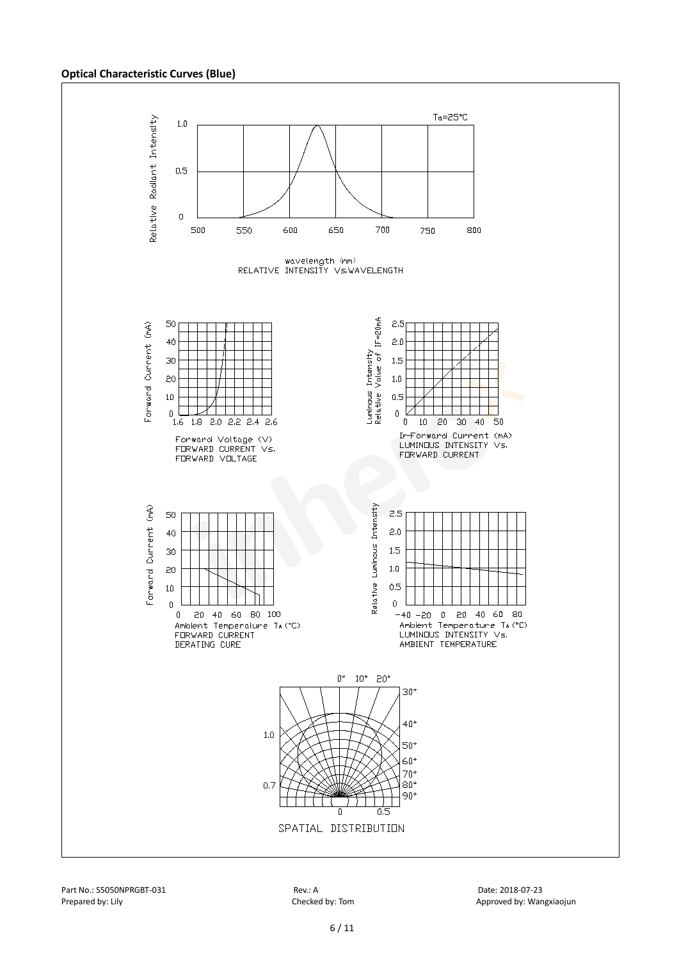#### **Optical Characteristic Curves (Blue)**

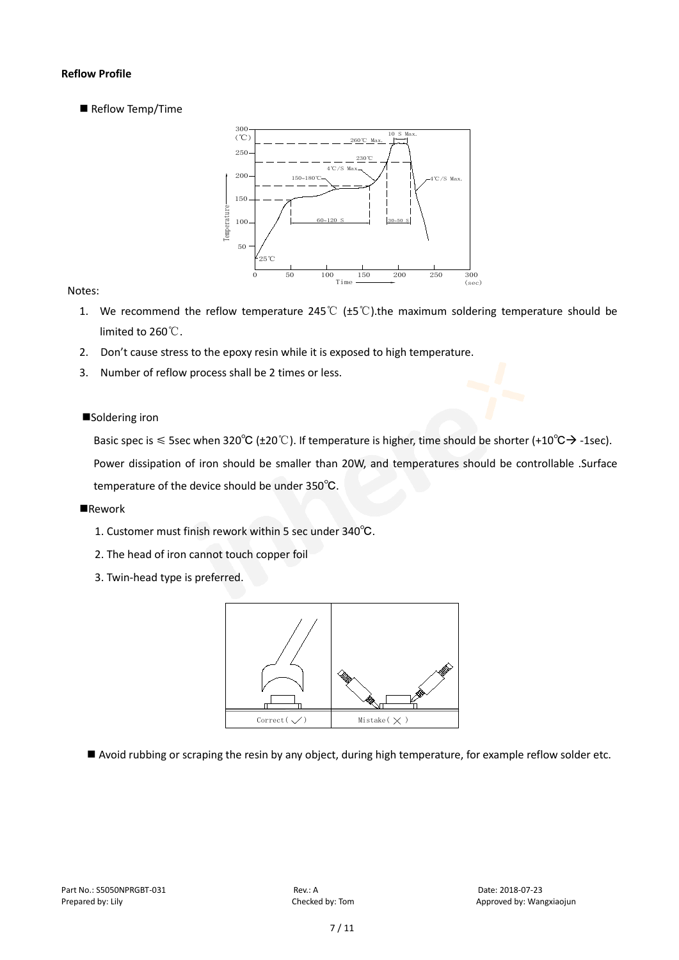## **Reflow Profile**

Reflow Temp/Time



## Notes:

- 1. We recommend the reflow temperature 245°C ( $\pm$ 5°C).the maximum soldering temperature should be limited to 260℃.
- 2. Don't cause stress to the epoxy resin while it is exposed to high temperature.
- 3. Number of reflow process shall be 2 times or less.

## ■Soldering iron

Basic spec is  $\leq$  5sec when 320°C (±20°C). If temperature is higher, time should be shorter (+10°C $\rightarrow$ -1sec).

Power dissipation of iron should be smaller than 20W, and temperatures should be controllable .Surface temperature of the device should be under 350℃.

## **Rework**

- 1. Customer must finish rework within 5 sec under 340℃.
- 2. The head of iron cannot touch copper foil
- 3. Twin-head type is preferred.



Avoid rubbing or scraping the resin by any object, during high temperature, for example reflow solder etc.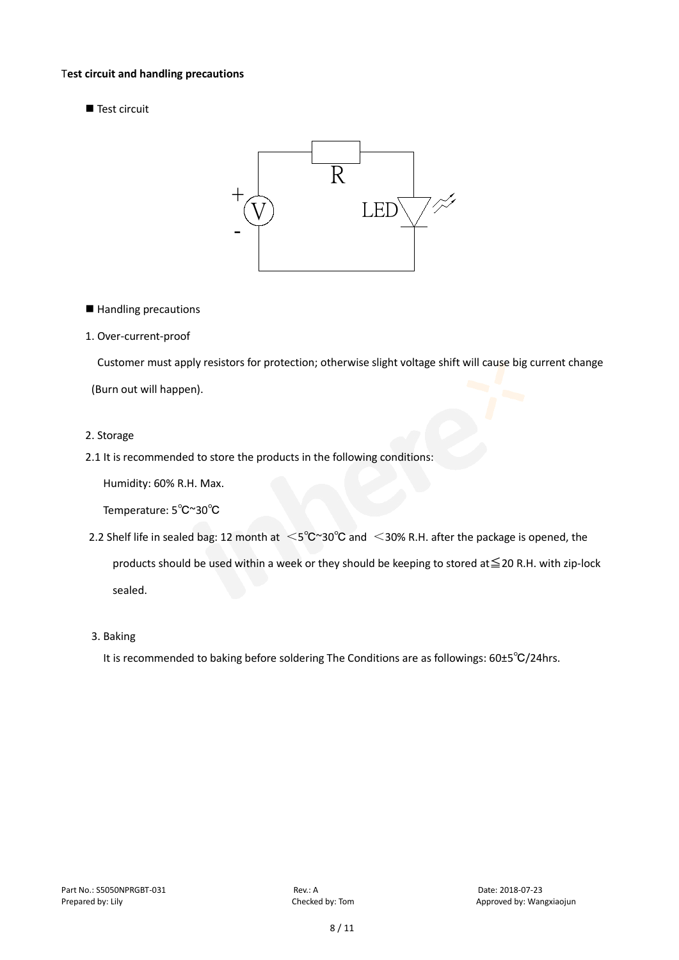### T**est circuit and handling precautions**

Test circuit



■ Handling precautions

### 1. Over-current-proof

Customer must apply resistors for protection; otherwise slight voltage shift will cause big current change

(Burn out will happen).

#### 2. Storage

2.1 It is recommended to store the products in the following conditions:

Humidity: 60% R.H. Max.

Temperature: 5℃~30℃

- 2.2 Shelf life in sealed bag: 12 month at <5℃~30°C and <30% R.H. after the package is opened, the products should be used within a week or they should be keeping to stored at≦20 R.H. with zip-lock sealed.
- 3. Baking

It is recommended to baking before soldering The Conditions are as followings: 60±5℃/24hrs.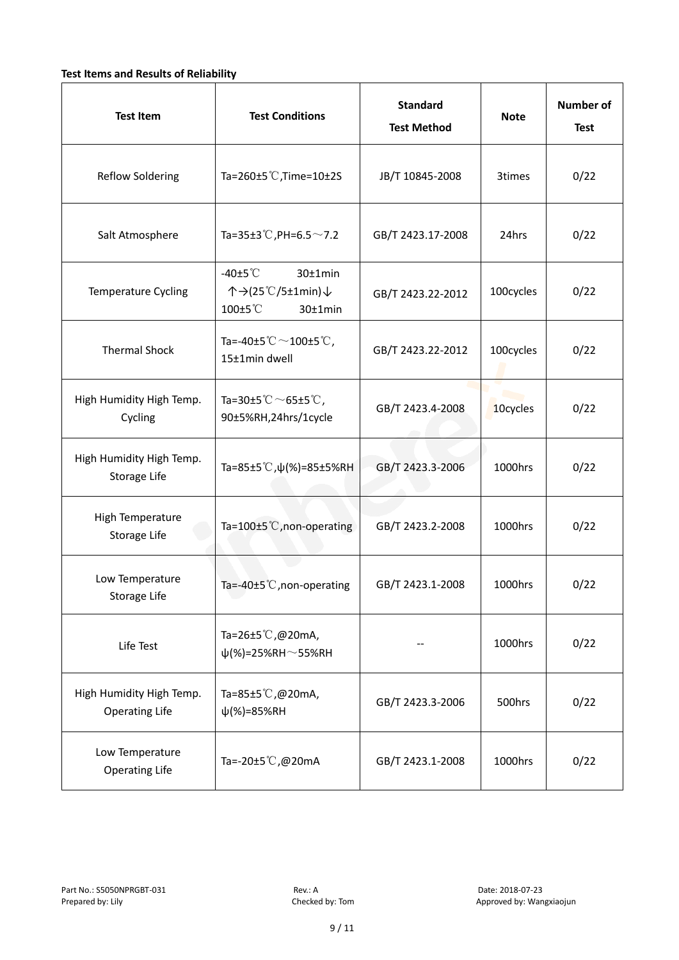## **Test Items and Results of Reliability**

| <b>Test Item</b>                                  | <b>Test Conditions</b>                                                    | <b>Standard</b><br><b>Test Method</b> | <b>Note</b> | <b>Number of</b><br><b>Test</b> |
|---------------------------------------------------|---------------------------------------------------------------------------|---------------------------------------|-------------|---------------------------------|
| <b>Reflow Soldering</b>                           | Ta=260±5 °C, Time=10±2S                                                   | JB/T 10845-2008                       | 3times      | 0/22                            |
| Salt Atmosphere                                   | Ta=35±3°C, PH=6.5 $\sim$ 7.2                                              | GB/T 2423.17-2008                     | 24hrs       | 0/22                            |
| Temperature Cycling                               | -40 $±5^{\circ}$ C<br>30±1min<br>个→(25℃/5±1min)↓<br>100±5°C<br>$30±1$ min | GB/T 2423.22-2012                     | 100cycles   | 0/22                            |
| <b>Thermal Shock</b>                              | Ta=-40±5 $°C$ ~100±5 $°C$ ,<br>15±1min dwell                              | GB/T 2423.22-2012                     | 100cycles   | 0/22                            |
| High Humidity High Temp.<br>Cycling               | Ta=30±5 °C $\sim$ 65±5 °C,<br>90±5%RH,24hrs/1cycle                        | GB/T 2423.4-2008                      | 10cycles    | 0/22                            |
| High Humidity High Temp.<br>Storage Life          | Ta=85±5 °C, $\psi$ (%)=85±5%RH                                            | GB/T 2423.3-2006                      | 1000hrs     | 0/22                            |
| High Temperature<br>Storage Life                  | Ta=100±5°C, non-operating                                                 | GB/T 2423.2-2008                      | 1000hrs     | 0/22                            |
| Low Temperature<br>Storage Life                   | Ta=-40±5 $°C$ , non-operating                                             | GB/T 2423.1-2008                      | 1000hrs     | 0/22                            |
| Life Test                                         | Ta=26±5℃,@20mA,<br>$\psi$ (%)=25%RH~55%RH                                 |                                       | 1000hrs     | 0/22                            |
| High Humidity High Temp.<br><b>Operating Life</b> | Ta=85±5 $\degree$ C, @20mA,<br>$\psi$ (%)=85%RH                           | GB/T 2423.3-2006                      | 500hrs      | 0/22                            |
| Low Temperature<br><b>Operating Life</b>          | Ta=-20±5 $\mathbb{C}$ , @20mA                                             | GB/T 2423.1-2008                      | 1000hrs     | 0/22                            |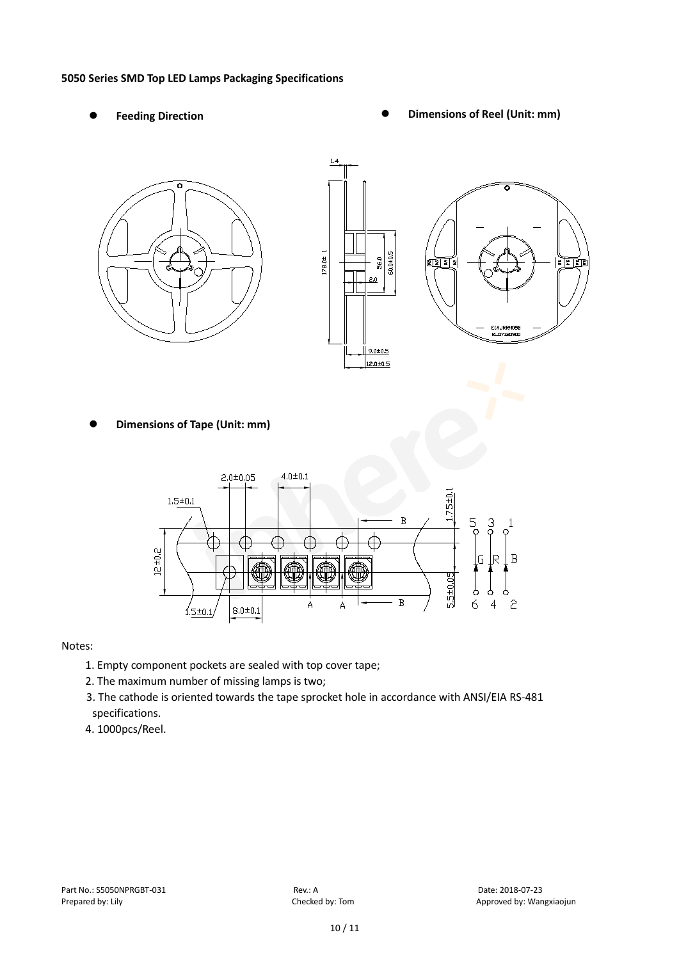### **5050 Series SMD Top LED Lamps Packaging Specifications**

- 
- Feeding Direction **Constanting Constanting Constanting Constanting Constanting Constanting Constanting Constanting Constanting Constanting Constanting Constanting Constanting Constanting Constanting Constanting Constanting**





**Dimensions of Tape (Unit: mm)**



## Notes:

- 1. Empty component pockets are sealed with top cover tape;
- 2. The maximum number of missing lamps is two;
- 3. The cathode is oriented towards the tape sprocket hole in accordance with ANSI/EIA RS-481 specifications.
- 4. 1000pcs/Reel.